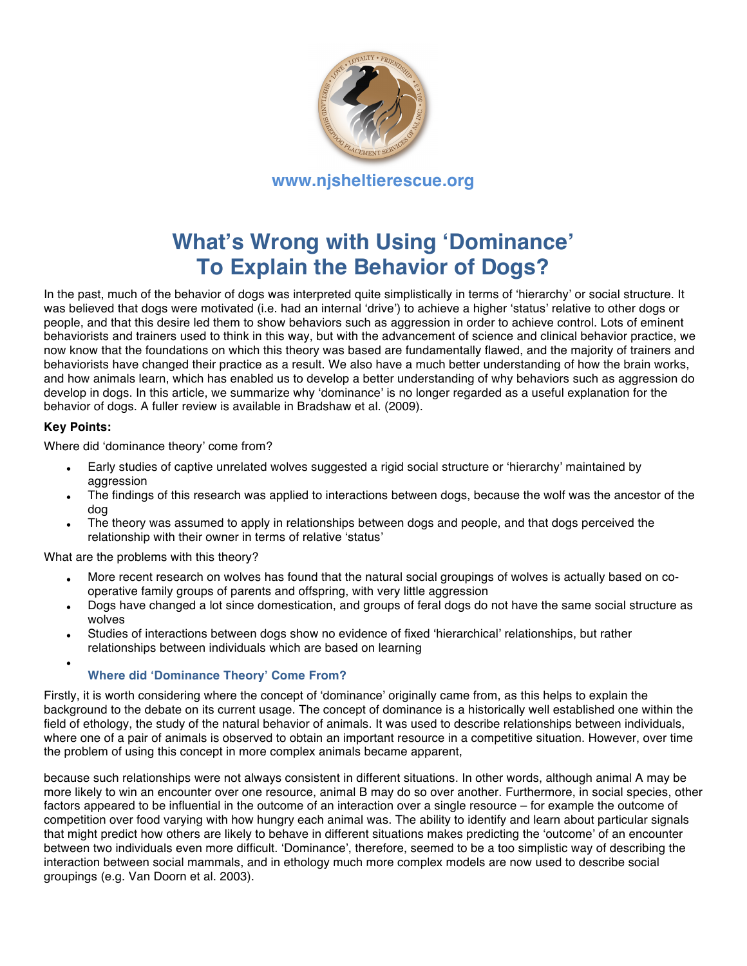

# **What's Wrong with Using 'Dominance' To Explain the Behavior of Dogs?**

In the past, much of the behavior of dogs was interpreted quite simplistically in terms of ʻhierarchy' or social structure. It was believed that dogs were motivated (i.e. had an internal ʻdrive') to achieve a higher ʻstatus' relative to other dogs or people, and that this desire led them to show behaviors such as aggression in order to achieve control. Lots of eminent behaviorists and trainers used to think in this way, but with the advancement of science and clinical behavior practice, we now know that the foundations on which this theory was based are fundamentally flawed, and the majority of trainers and behaviorists have changed their practice as a result. We also have a much better understanding of how the brain works, and how animals learn, which has enabled us to develop a better understanding of why behaviors such as aggression do develop in dogs. In this article, we summarize why ʻdominance' is no longer regarded as a useful explanation for the behavior of dogs. A fuller review is available in Bradshaw et al. (2009).

#### **Key Points:**

Where did ʻdominance theory' come from?

- Early studies of captive unrelated wolves suggested a rigid social structure or ʻhierarchy' maintained by aggression
- The findings of this research was applied to interactions between dogs, because the wolf was the ancestor of the dog
- The theory was assumed to apply in relationships between dogs and people, and that dogs perceived the relationship with their owner in terms of relative ʻstatus'

What are the problems with this theory?

- More recent research on wolves has found that the natural social groupings of wolves is actually based on cooperative family groups of parents and offspring, with very little aggression
- Dogs have changed a lot since domestication, and groups of feral dogs do not have the same social structure as wolves
- Studies of interactions between dogs show no evidence of fixed ʻhierarchical' relationships, but rather relationships between individuals which are based on learning
- 

#### • **Where did 'Dominance Theory' Come From?**

Firstly, it is worth considering where the concept of ʻdominance' originally came from, as this helps to explain the background to the debate on its current usage. The concept of dominance is a historically well established one within the field of ethology, the study of the natural behavior of animals. It was used to describe relationships between individuals, where one of a pair of animals is observed to obtain an important resource in a competitive situation. However, over time the problem of using this concept in more complex animals became apparent,

because such relationships were not always consistent in different situations. In other words, although animal A may be more likely to win an encounter over one resource, animal B may do so over another. Furthermore, in social species, other factors appeared to be influential in the outcome of an interaction over a single resource – for example the outcome of competition over food varying with how hungry each animal was. The ability to identify and learn about particular signals that might predict how others are likely to behave in different situations makes predicting the ʻoutcome' of an encounter between two individuals even more difficult. ʻDominance', therefore, seemed to be a too simplistic way of describing the interaction between social mammals, and in ethology much more complex models are now used to describe social groupings (e.g. Van Doorn et al. 2003).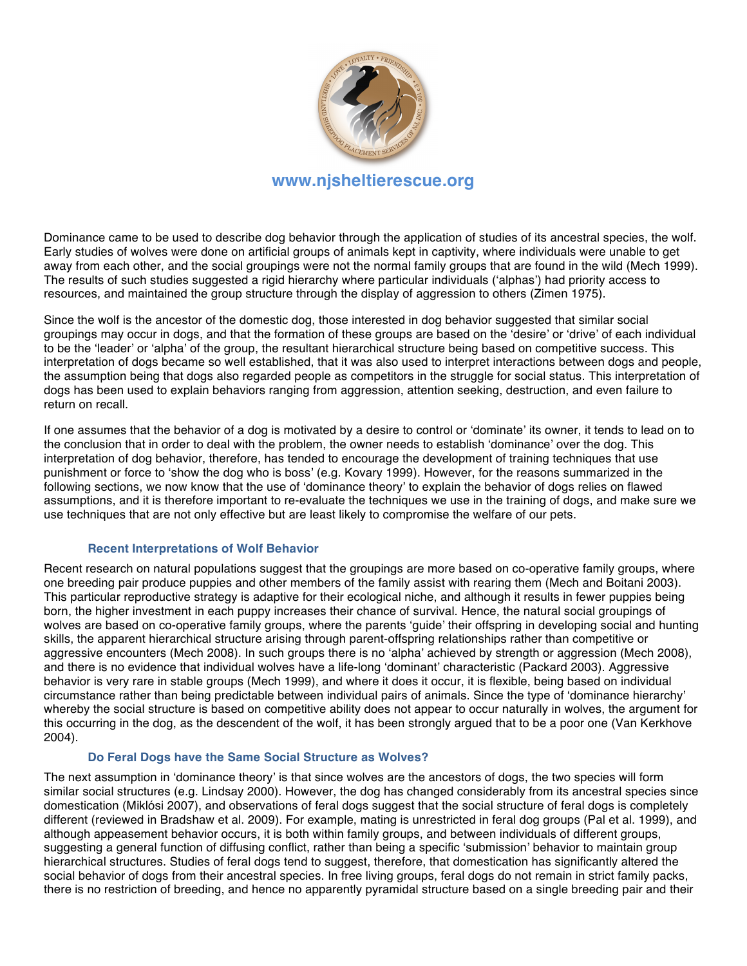

Dominance came to be used to describe dog behavior through the application of studies of its ancestral species, the wolf. Early studies of wolves were done on artificial groups of animals kept in captivity, where individuals were unable to get away from each other, and the social groupings were not the normal family groups that are found in the wild (Mech 1999). The results of such studies suggested a rigid hierarchy where particular individuals (ʻalphas') had priority access to resources, and maintained the group structure through the display of aggression to others (Zimen 1975).

Since the wolf is the ancestor of the domestic dog, those interested in dog behavior suggested that similar social groupings may occur in dogs, and that the formation of these groups are based on the ʻdesire' or ʻdrive' of each individual to be the ʻleader' or ʻalpha' of the group, the resultant hierarchical structure being based on competitive success. This interpretation of dogs became so well established, that it was also used to interpret interactions between dogs and people, the assumption being that dogs also regarded people as competitors in the struggle for social status. This interpretation of dogs has been used to explain behaviors ranging from aggression, attention seeking, destruction, and even failure to return on recall.

If one assumes that the behavior of a dog is motivated by a desire to control or ʻdominate' its owner, it tends to lead on to the conclusion that in order to deal with the problem, the owner needs to establish ʻdominance' over the dog. This interpretation of dog behavior, therefore, has tended to encourage the development of training techniques that use punishment or force to ʻshow the dog who is boss' (e.g. Kovary 1999). However, for the reasons summarized in the following sections, we now know that the use of ʻdominance theory' to explain the behavior of dogs relies on flawed assumptions, and it is therefore important to re-evaluate the techniques we use in the training of dogs, and make sure we use techniques that are not only effective but are least likely to compromise the welfare of our pets.

#### **Recent Interpretations of Wolf Behavior**

Recent research on natural populations suggest that the groupings are more based on co-operative family groups, where one breeding pair produce puppies and other members of the family assist with rearing them (Mech and Boitani 2003). This particular reproductive strategy is adaptive for their ecological niche, and although it results in fewer puppies being born, the higher investment in each puppy increases their chance of survival. Hence, the natural social groupings of wolves are based on co-operative family groups, where the parents ʻguide' their offspring in developing social and hunting skills, the apparent hierarchical structure arising through parent-offspring relationships rather than competitive or aggressive encounters (Mech 2008). In such groups there is no ʻalpha' achieved by strength or aggression (Mech 2008), and there is no evidence that individual wolves have a life-long ʻdominant' characteristic (Packard 2003). Aggressive behavior is very rare in stable groups (Mech 1999), and where it does it occur, it is flexible, being based on individual circumstance rather than being predictable between individual pairs of animals. Since the type of ʻdominance hierarchy' whereby the social structure is based on competitive ability does not appear to occur naturally in wolves, the argument for this occurring in the dog, as the descendent of the wolf, it has been strongly argued that to be a poor one (Van Kerkhove 2004).

#### **Do Feral Dogs have the Same Social Structure as Wolves?**

The next assumption in ʻdominance theory' is that since wolves are the ancestors of dogs, the two species will form similar social structures (e.g. Lindsay 2000). However, the dog has changed considerably from its ancestral species since domestication (Miklósi 2007), and observations of feral dogs suggest that the social structure of feral dogs is completely different (reviewed in Bradshaw et al. 2009). For example, mating is unrestricted in feral dog groups (Pal et al. 1999), and although appeasement behavior occurs, it is both within family groups, and between individuals of different groups, suggesting a general function of diffusing conflict, rather than being a specific ʻsubmission' behavior to maintain group hierarchical structures. Studies of feral dogs tend to suggest, therefore, that domestication has significantly altered the social behavior of dogs from their ancestral species. In free living groups, feral dogs do not remain in strict family packs, there is no restriction of breeding, and hence no apparently pyramidal structure based on a single breeding pair and their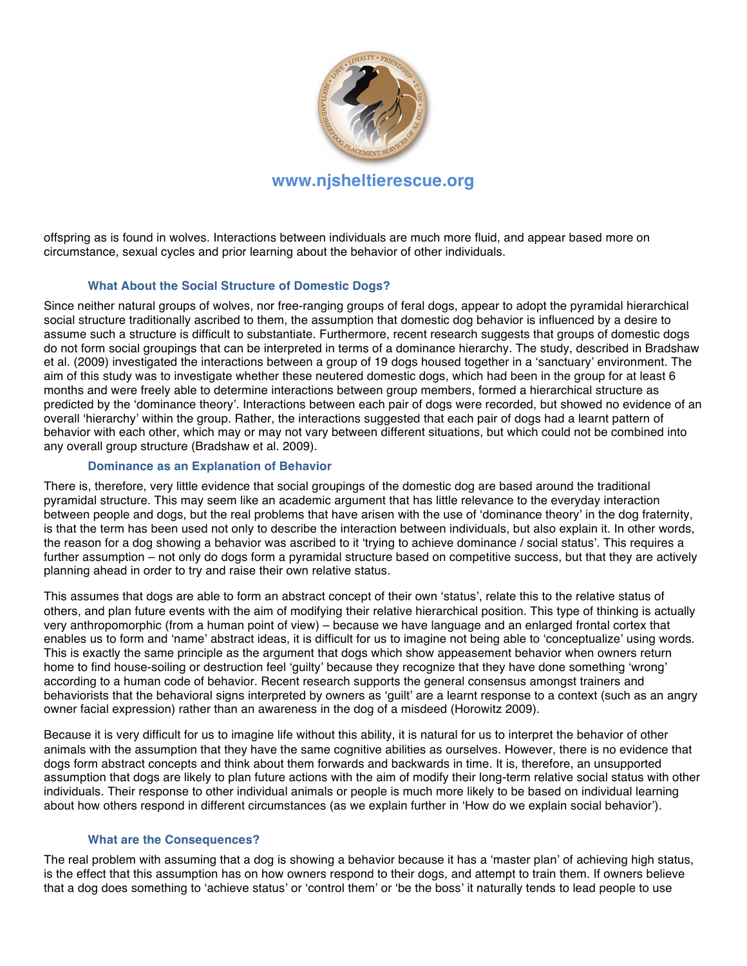

offspring as is found in wolves. Interactions between individuals are much more fluid, and appear based more on circumstance, sexual cycles and prior learning about the behavior of other individuals.

#### **What About the Social Structure of Domestic Dogs?**

Since neither natural groups of wolves, nor free-ranging groups of feral dogs, appear to adopt the pyramidal hierarchical social structure traditionally ascribed to them, the assumption that domestic dog behavior is influenced by a desire to assume such a structure is difficult to substantiate. Furthermore, recent research suggests that groups of domestic dogs do not form social groupings that can be interpreted in terms of a dominance hierarchy. The study, described in Bradshaw et al. (2009) investigated the interactions between a group of 19 dogs housed together in a ʻsanctuary' environment. The aim of this study was to investigate whether these neutered domestic dogs, which had been in the group for at least 6 months and were freely able to determine interactions between group members, formed a hierarchical structure as predicted by the ʻdominance theory'. Interactions between each pair of dogs were recorded, but showed no evidence of an overall ʻhierarchy' within the group. Rather, the interactions suggested that each pair of dogs had a learnt pattern of behavior with each other, which may or may not vary between different situations, but which could not be combined into any overall group structure (Bradshaw et al. 2009).

#### **Dominance as an Explanation of Behavior**

There is, therefore, very little evidence that social groupings of the domestic dog are based around the traditional pyramidal structure. This may seem like an academic argument that has little relevance to the everyday interaction between people and dogs, but the real problems that have arisen with the use of ʻdominance theory' in the dog fraternity, is that the term has been used not only to describe the interaction between individuals, but also explain it. In other words, the reason for a dog showing a behavior was ascribed to it ʻtrying to achieve dominance / social status'. This requires a further assumption – not only do dogs form a pyramidal structure based on competitive success, but that they are actively planning ahead in order to try and raise their own relative status.

This assumes that dogs are able to form an abstract concept of their own ʻstatus', relate this to the relative status of others, and plan future events with the aim of modifying their relative hierarchical position. This type of thinking is actually very anthropomorphic (from a human point of view) – because we have language and an enlarged frontal cortex that enables us to form and ʻname' abstract ideas, it is difficult for us to imagine not being able to ʻconceptualize' using words. This is exactly the same principle as the argument that dogs which show appeasement behavior when owners return home to find house-soiling or destruction feel ʻguilty' because they recognize that they have done something ʻwrong' according to a human code of behavior. Recent research supports the general consensus amongst trainers and behaviorists that the behavioral signs interpreted by owners as ʻguilt' are a learnt response to a context (such as an angry owner facial expression) rather than an awareness in the dog of a misdeed (Horowitz 2009).

Because it is very difficult for us to imagine life without this ability, it is natural for us to interpret the behavior of other animals with the assumption that they have the same cognitive abilities as ourselves. However, there is no evidence that dogs form abstract concepts and think about them forwards and backwards in time. It is, therefore, an unsupported assumption that dogs are likely to plan future actions with the aim of modify their long-term relative social status with other individuals. Their response to other individual animals or people is much more likely to be based on individual learning about how others respond in different circumstances (as we explain further in ʻHow do we explain social behavior').

#### **What are the Consequences?**

The real problem with assuming that a dog is showing a behavior because it has a ʻmaster plan' of achieving high status, is the effect that this assumption has on how owners respond to their dogs, and attempt to train them. If owners believe that a dog does something to ʻachieve status' or ʻcontrol them' or ʻbe the boss' it naturally tends to lead people to use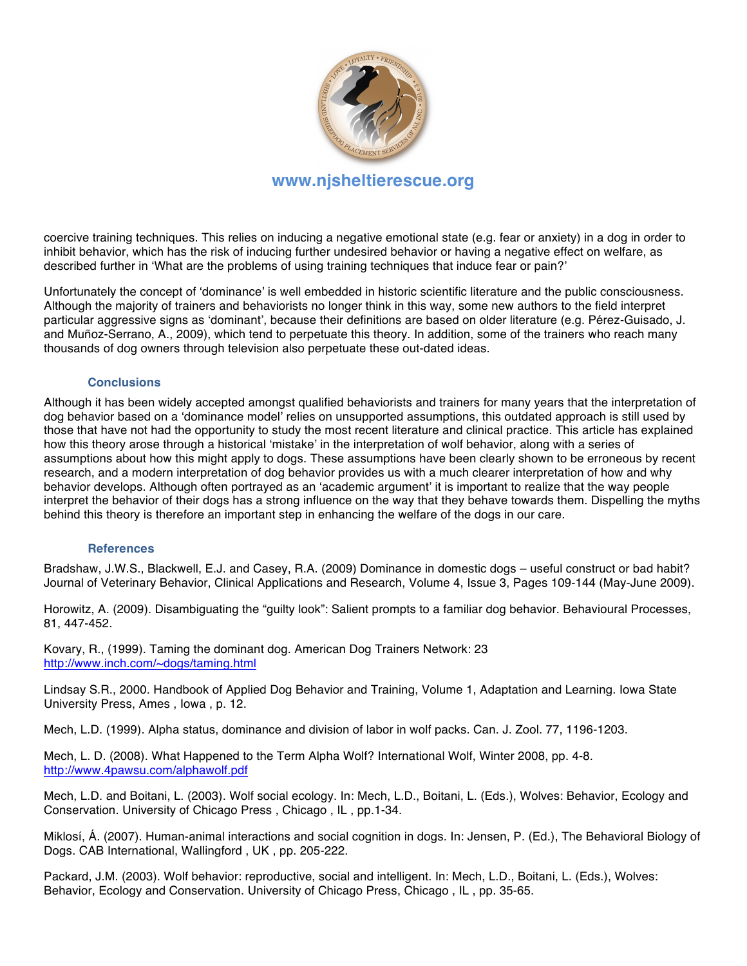

coercive training techniques. This relies on inducing a negative emotional state (e.g. fear or anxiety) in a dog in order to inhibit behavior, which has the risk of inducing further undesired behavior or having a negative effect on welfare, as described further in ʻWhat are the problems of using training techniques that induce fear or pain?'

Unfortunately the concept of ʻdominance' is well embedded in historic scientific literature and the public consciousness. Although the majority of trainers and behaviorists no longer think in this way, some new authors to the field interpret particular aggressive signs as ʻdominant', because their definitions are based on older literature (e.g. Pérez-Guisado, J. and Muñoz-Serrano, A., 2009), which tend to perpetuate this theory. In addition, some of the trainers who reach many thousands of dog owners through television also perpetuate these out-dated ideas.

#### **Conclusions**

Although it has been widely accepted amongst qualified behaviorists and trainers for many years that the interpretation of dog behavior based on a ʻdominance model' relies on unsupported assumptions, this outdated approach is still used by those that have not had the opportunity to study the most recent literature and clinical practice. This article has explained how this theory arose through a historical ʻmistake' in the interpretation of wolf behavior, along with a series of assumptions about how this might apply to dogs. These assumptions have been clearly shown to be erroneous by recent research, and a modern interpretation of dog behavior provides us with a much clearer interpretation of how and why behavior develops. Although often portrayed as an ʻacademic argument' it is important to realize that the way people interpret the behavior of their dogs has a strong influence on the way that they behave towards them. Dispelling the myths behind this theory is therefore an important step in enhancing the welfare of the dogs in our care.

#### **References**

Bradshaw, J.W.S., Blackwell, E.J. and Casey, R.A. (2009) Dominance in domestic dogs – useful construct or bad habit? Journal of Veterinary Behavior, Clinical Applications and Research, Volume 4, Issue 3, Pages 109-144 (May-June 2009).

Horowitz, A. (2009). Disambiguating the "guilty look": Salient prompts to a familiar dog behavior. Behavioural Processes, 81, 447-452.

Kovary, R., (1999). Taming the dominant dog. American Dog Trainers Network: 23 http://www.inch.com/~dogs/taming.html

Lindsay S.R., 2000. Handbook of Applied Dog Behavior and Training, Volume 1, Adaptation and Learning. Iowa State University Press, Ames , Iowa , p. 12.

Mech, L.D. (1999). Alpha status, dominance and division of labor in wolf packs. Can. J. Zool. 77, 1196-1203.

Mech, L. D. (2008). What Happened to the Term Alpha Wolf? International Wolf, Winter 2008, pp. 4-8. http://www.4pawsu.com/alphawolf.pdf

Mech, L.D. and Boitani, L. (2003). Wolf social ecology. In: Mech, L.D., Boitani, L. (Eds.), Wolves: Behavior, Ecology and Conservation. University of Chicago Press , Chicago , IL , pp.1-34.

Miklosí, Á. (2007). Human-animal interactions and social cognition in dogs. In: Jensen, P. (Ed.), The Behavioral Biology of Dogs. CAB International, Wallingford , UK , pp. 205-222.

Packard, J.M. (2003). Wolf behavior: reproductive, social and intelligent. In: Mech, L.D., Boitani, L. (Eds.), Wolves: Behavior, Ecology and Conservation. University of Chicago Press, Chicago , IL , pp. 35-65.